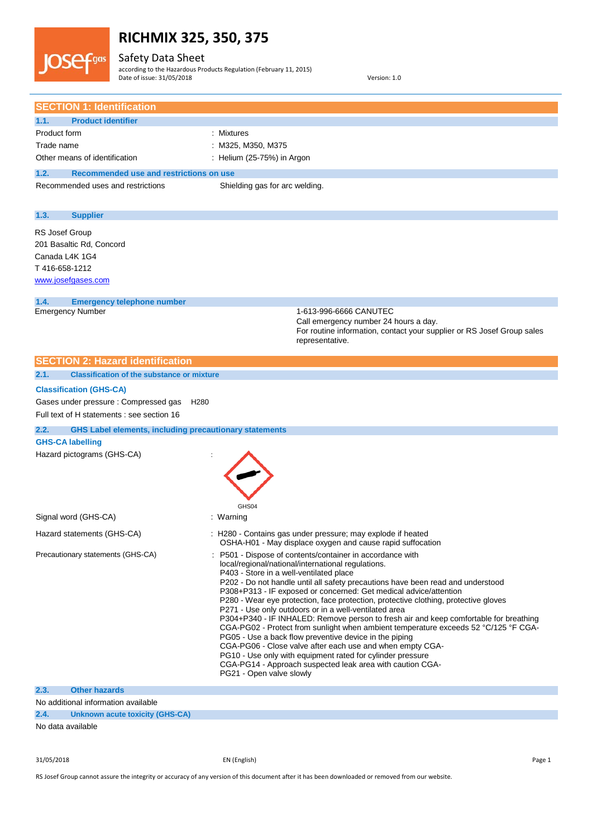Safety Data Sheet

**JOSe** 

 $\epsilon$ gas

according to the Hazardous Products Regulation (February 11, 2015) Date of issue: 31/05/2018 Version: 1.0

| <b>SECTION 1: Identification</b>                                      |                                                                                                                                                |
|-----------------------------------------------------------------------|------------------------------------------------------------------------------------------------------------------------------------------------|
| <b>Product identifier</b><br>1.1.                                     |                                                                                                                                                |
| Product form                                                          | : Mixtures                                                                                                                                     |
| Trade name                                                            | : M325, M350, M375                                                                                                                             |
| Other means of identification                                         | : Helium (25-75%) in Argon                                                                                                                     |
| 1.2.<br>Recommended use and restrictions on use                       |                                                                                                                                                |
| Recommended uses and restrictions                                     | Shielding gas for arc welding.                                                                                                                 |
|                                                                       |                                                                                                                                                |
| <b>Supplier</b><br>1.3.                                               |                                                                                                                                                |
| RS Josef Group                                                        |                                                                                                                                                |
| 201 Basaltic Rd, Concord                                              |                                                                                                                                                |
| Canada L4K 1G4                                                        |                                                                                                                                                |
| T416-658-1212                                                         |                                                                                                                                                |
| www.josefgases.com                                                    |                                                                                                                                                |
|                                                                       |                                                                                                                                                |
| 1.4.<br><b>Emergency telephone number</b><br><b>Emergency Number</b>  | 1-613-996-6666 CANUTEC                                                                                                                         |
|                                                                       | Call emergency number 24 hours a day.                                                                                                          |
|                                                                       | For routine information, contact your supplier or RS Josef Group sales                                                                         |
|                                                                       | representative.                                                                                                                                |
| <b>SECTION 2: Hazard identification</b>                               |                                                                                                                                                |
| 2.1.<br><b>Classification of the substance or mixture</b>             |                                                                                                                                                |
| <b>Classification (GHS-CA)</b>                                        |                                                                                                                                                |
| Gases under pressure : Compressed gas<br>H <sub>280</sub>             |                                                                                                                                                |
| Full text of H statements : see section 16                            |                                                                                                                                                |
| <b>GHS Label elements, including precautionary statements</b><br>2.2. |                                                                                                                                                |
| <b>GHS-CA labelling</b>                                               |                                                                                                                                                |
| Hazard pictograms (GHS-CA)                                            |                                                                                                                                                |
|                                                                       |                                                                                                                                                |
|                                                                       |                                                                                                                                                |
|                                                                       |                                                                                                                                                |
|                                                                       | GHS04                                                                                                                                          |
| Signal word (GHS-CA)                                                  | : Warning                                                                                                                                      |
|                                                                       |                                                                                                                                                |
| Hazard statements (GHS-CA)                                            | : H280 - Contains gas under pressure; may explode if heated<br>OSHA-H01 - May displace oxygen and cause rapid suffocation                      |
| Precautionary statements (GHS-CA)                                     | P501 - Dispose of contents/container in accordance with                                                                                        |
|                                                                       | local/regional/national/international regulations.                                                                                             |
|                                                                       | P403 - Store in a well-ventilated place<br>P202 - Do not handle until all safety precautions have been read and understood                     |
|                                                                       | P308+P313 - IF exposed or concerned: Get medical advice/attention                                                                              |
|                                                                       | P280 - Wear eye protection, face protection, protective clothing, protective gloves                                                            |
|                                                                       | P271 - Use only outdoors or in a well-ventilated area<br>P304+P340 - IF INHALED: Remove person to fresh air and keep comfortable for breathing |
|                                                                       | CGA-PG02 - Protect from sunlight when ambient temperature exceeds 52 °C/125 °F CGA-                                                            |
|                                                                       | PG05 - Use a back flow preventive device in the piping                                                                                         |
|                                                                       | CGA-PG06 - Close valve after each use and when empty CGA-<br>PG10 - Use only with equipment rated for cylinder pressure                        |
|                                                                       | CGA-PG14 - Approach suspected leak area with caution CGA-                                                                                      |
|                                                                       | PG21 - Open valve slowly                                                                                                                       |
| <b>Other hazards</b><br>2.3.                                          |                                                                                                                                                |
| No additional information available                                   |                                                                                                                                                |
| 2.4.<br>Unknown acute toxicity (GHS-CA)                               |                                                                                                                                                |

No data available

31/05/2018 EN (English) Page 1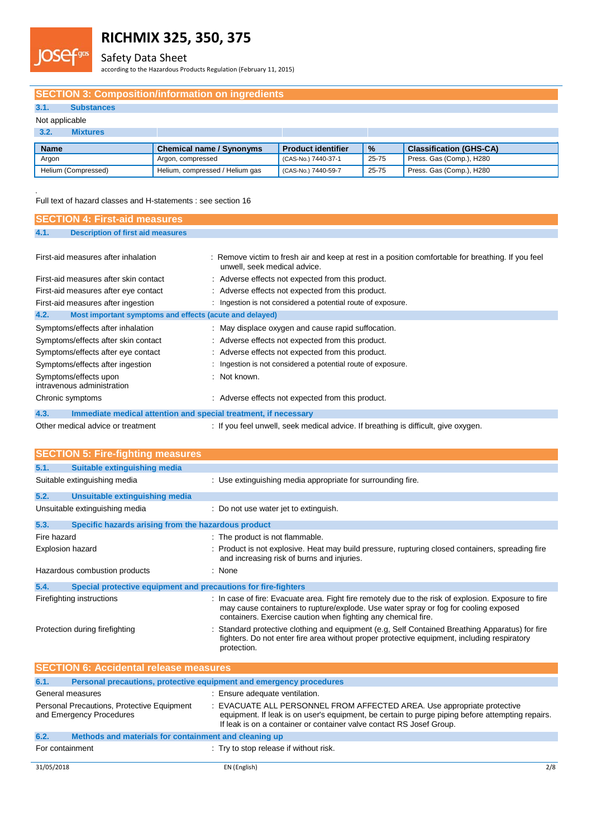

### Safety Data Sheet

according to the Hazardous Products Regulation (February 11, 2015)

### **SECTION 3: Composition/information on ingredients**

### **3.1. Substances**

### Not applicable

**s**

| Mixtures            |                                 |                           |               |                                |
|---------------------|---------------------------------|---------------------------|---------------|--------------------------------|
| <b>Name</b>         | <b>Chemical name / Synonyms</b> | <b>Product identifier</b> | $\frac{9}{6}$ | <b>Classification (GHS-CA)</b> |
| Araon               | Argon, compressed               | (CAS-No.) 7440-37-1       | 25-75         | Press. Gas (Comp.), H280       |
| Helium (Compressed) | Helium, compressed / Helium gas | (CAS-No.) 7440-59-7       | 25-75         | Press. Gas (Comp.), H280       |

Full text of hazard classes and H-statements : see section 16

| <b>SECTION 4: First-aid measures</b>                                    |                                                                                                                                    |
|-------------------------------------------------------------------------|------------------------------------------------------------------------------------------------------------------------------------|
| 4.1.<br><b>Description of first aid measures</b>                        |                                                                                                                                    |
|                                                                         |                                                                                                                                    |
| First-aid measures after inhalation                                     | : Remove victim to fresh air and keep at rest in a position comfortable for breathing. If you feel<br>unwell, seek medical advice. |
| First-aid measures after skin contact                                   | : Adverse effects not expected from this product.                                                                                  |
| First-aid measures after eye contact                                    | : Adverse effects not expected from this product.                                                                                  |
| First-aid measures after ingestion                                      | : Ingestion is not considered a potential route of exposure.                                                                       |
| 4.2.<br>Most important symptoms and effects (acute and delayed)         |                                                                                                                                    |
| Symptoms/effects after inhalation                                       | : May displace oxygen and cause rapid suffocation.                                                                                 |
| Symptoms/effects after skin contact                                     | : Adverse effects not expected from this product.                                                                                  |
| Symptoms/effects after eye contact                                      | : Adverse effects not expected from this product.                                                                                  |
| Symptoms/effects after ingestion                                        | : Ingestion is not considered a potential route of exposure.                                                                       |
| Symptoms/effects upon<br>intravenous administration                     | : Not known.                                                                                                                       |
| Chronic symptoms                                                        | : Adverse effects not expected from this product.                                                                                  |
| 4.3.<br>Immediate medical attention and special treatment, if necessary |                                                                                                                                    |
| Other medical advice or treatment                                       | : If you feel unwell, seek medical advice. If breathing is difficult, give oxygen.                                                 |

|                         | <b>SECTION 5: Fire-fighting measures</b>                               |                                                                                                                                                                                                                                                              |  |
|-------------------------|------------------------------------------------------------------------|--------------------------------------------------------------------------------------------------------------------------------------------------------------------------------------------------------------------------------------------------------------|--|
| 5.1.                    | Suitable extinguishing media                                           |                                                                                                                                                                                                                                                              |  |
|                         | Suitable extinguishing media                                           | : Use extinguishing media appropriate for surrounding fire.                                                                                                                                                                                                  |  |
| 5.2.                    | Unsuitable extinguishing media                                         |                                                                                                                                                                                                                                                              |  |
|                         | Unsuitable extinguishing media                                         | : Do not use water jet to extinguish.                                                                                                                                                                                                                        |  |
| 5.3.                    | Specific hazards arising from the hazardous product                    |                                                                                                                                                                                                                                                              |  |
| Fire hazard             |                                                                        | : The product is not flammable.                                                                                                                                                                                                                              |  |
| <b>Explosion hazard</b> |                                                                        | : Product is not explosive. Heat may build pressure, rupturing closed containers, spreading fire<br>and increasing risk of burns and injuries.                                                                                                               |  |
|                         | Hazardous combustion products                                          | : None                                                                                                                                                                                                                                                       |  |
| 5.4.                    | Special protective equipment and precautions for fire-fighters         |                                                                                                                                                                                                                                                              |  |
|                         | Firefighting instructions                                              | : In case of fire: Evacuate area. Fight fire remotely due to the risk of explosion. Exposure to fire<br>may cause containers to rupture/explode. Use water spray or fog for cooling exposed<br>containers. Exercise caution when fighting any chemical fire. |  |
|                         | Protection during firefighting                                         | Standard protective clothing and equipment (e.g. Self Contained Breathing Apparatus) for fire<br>fighters. Do not enter fire area without proper protective equipment, including respiratory<br>protection.                                                  |  |
|                         | <b>SECTION 6: Accidental release measures</b>                          |                                                                                                                                                                                                                                                              |  |
| 6.1.                    |                                                                        | Personal precautions, protective equipment and emergency procedures                                                                                                                                                                                          |  |
|                         | General measures                                                       | : Ensure adequate ventilation.                                                                                                                                                                                                                               |  |
|                         | Personal Precautions, Protective Equipment<br>and Emergency Procedures | : EVACUATE ALL PERSONNEL FROM AFFECTED AREA. Use appropriate protective<br>equipment. If leak is on user's equipment, be certain to purge piping before attempting repairs.<br>If leak is on a container or container valve contact RS Josef Group.          |  |
|                         |                                                                        |                                                                                                                                                                                                                                                              |  |

| 6.2.            | Methods and materials for containment and cleaning up |                                        |  |
|-----------------|-------------------------------------------------------|----------------------------------------|--|
| For containment |                                                       | : Try to stop release if without risk. |  |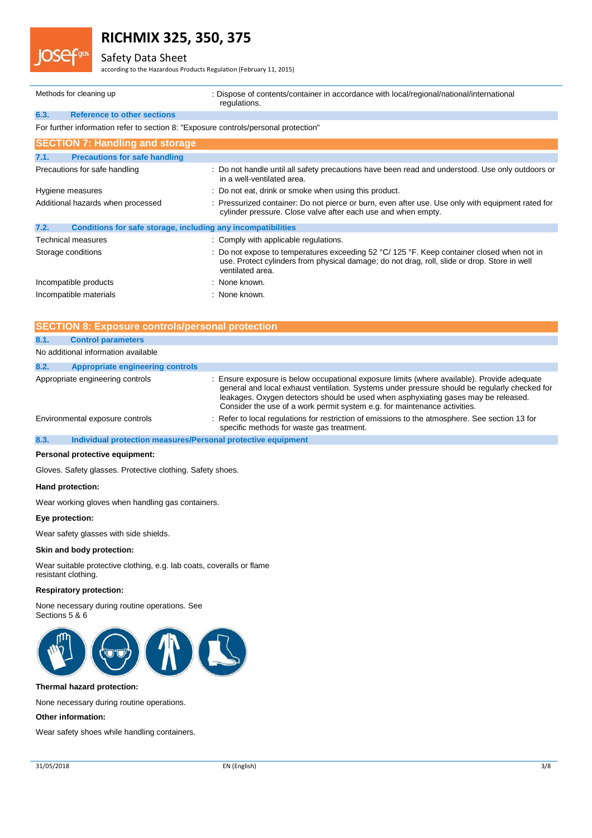### Safety Data Sheet

according to the Hazardous Products Regulation (February 11, 2015)

|                        | Methods for cleaning up                                                             | : Dispose of contents/container in accordance with local/regional/national/international<br>regulations.                                                                                                                         |
|------------------------|-------------------------------------------------------------------------------------|----------------------------------------------------------------------------------------------------------------------------------------------------------------------------------------------------------------------------------|
| 6.3.                   | <b>Reference to other sections</b>                                                  |                                                                                                                                                                                                                                  |
|                        | For further information refer to section 8: "Exposure controls/personal protection" |                                                                                                                                                                                                                                  |
|                        | <b>SECTION 7: Handling and storage</b>                                              |                                                                                                                                                                                                                                  |
| 7.1.                   | <b>Precautions for safe handling</b>                                                |                                                                                                                                                                                                                                  |
|                        | Precautions for safe handling                                                       | : Do not handle until all safety precautions have been read and understood. Use only outdoors or<br>in a well-ventilated area.                                                                                                   |
|                        | Hygiene measures                                                                    | : Do not eat, drink or smoke when using this product.                                                                                                                                                                            |
|                        | Additional hazards when processed                                                   | : Pressurized container: Do not pierce or burn, even after use. Use only with equipment rated for<br>cylinder pressure. Close valve after each use and when empty.                                                               |
| 7.2.                   | Conditions for safe storage, including any incompatibilities                        |                                                                                                                                                                                                                                  |
|                        | Technical measures                                                                  | : Comply with applicable regulations.                                                                                                                                                                                            |
| Storage conditions     |                                                                                     | : Do not expose to temperatures exceeding 52 $\degree$ C/ 125 $\degree$ F. Keep container closed when not in<br>use. Protect cylinders from physical damage; do not drag, roll, slide or drop. Store in well<br>ventilated area. |
| Incompatible products  |                                                                                     | : None known.                                                                                                                                                                                                                    |
| Incompatible materials |                                                                                     | : None known.                                                                                                                                                                                                                    |

| <b>SECTION 8: Exposure controls/personal protection</b> |                                                              |                                                                                                                                                                                                                                                                                                                                                                 |  |
|---------------------------------------------------------|--------------------------------------------------------------|-----------------------------------------------------------------------------------------------------------------------------------------------------------------------------------------------------------------------------------------------------------------------------------------------------------------------------------------------------------------|--|
| 8.1.                                                    | <b>Control parameters</b>                                    |                                                                                                                                                                                                                                                                                                                                                                 |  |
|                                                         | No additional information available                          |                                                                                                                                                                                                                                                                                                                                                                 |  |
| 8.2.                                                    | <b>Appropriate engineering controls</b>                      |                                                                                                                                                                                                                                                                                                                                                                 |  |
|                                                         | Appropriate engineering controls                             | : Ensure exposure is below occupational exposure limits (where available). Provide adequate<br>general and local exhaust ventilation. Systems under pressure should be regularly checked for<br>leakages. Oxygen detectors should be used when asphyxiating gases may be released.<br>Consider the use of a work permit system e.g. for maintenance activities. |  |
|                                                         | Environmental exposure controls                              | : Refer to local regulations for restriction of emissions to the atmosphere. See section 13 for<br>specific methods for waste gas treatment.                                                                                                                                                                                                                    |  |
| 8.3.                                                    | Individual protection measures/Personal protective equipment |                                                                                                                                                                                                                                                                                                                                                                 |  |

### **Personal protective equipment:**

Gloves. Safety glasses. Protective clothing. Safety shoes.

#### **Hand protection:**

Wear working gloves when handling gas containers.

#### **Eye protection:**

Wear safety glasses with side shields.

#### **Skin and body protection:**

Wear suitable protective clothing, e.g. lab coats, coveralls or flame resistant clothing.

### **Respiratory protection:**

None necessary during routine operations. See Sections 5 & 6



#### **Thermal hazard protection:**

None necessary during routine operations.

### **Other information:**

Wear safety shoes while handling containers.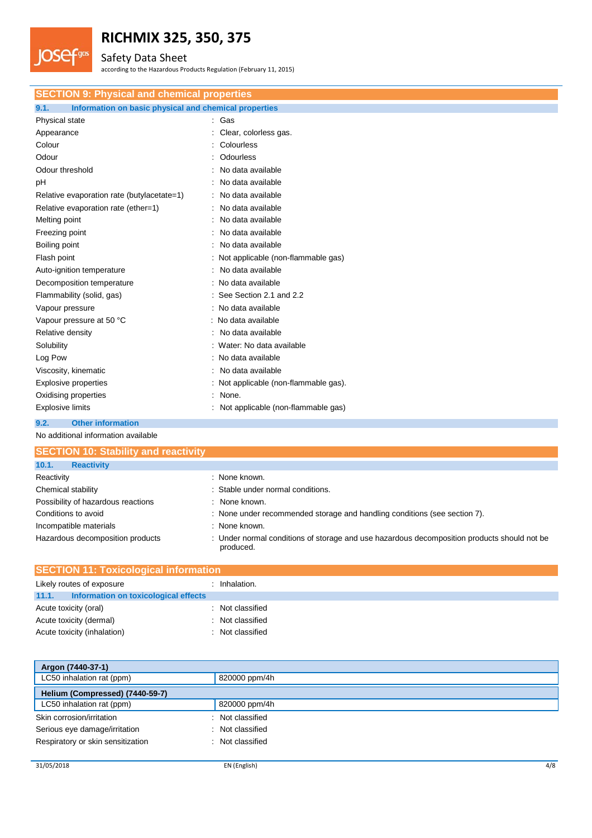

## Safety Data Sheet

according to the Hazardous Products Regulation (February 11, 2015)

| <b>SECTION 9: Physical and chemical properties</b>            |                                       |  |  |  |
|---------------------------------------------------------------|---------------------------------------|--|--|--|
| Information on basic physical and chemical properties<br>9.1. |                                       |  |  |  |
| Physical state                                                | : Gas                                 |  |  |  |
| Appearance                                                    | Clear, colorless gas.                 |  |  |  |
| Colour                                                        | : Colourless                          |  |  |  |
| Odour                                                         | Odourless                             |  |  |  |
| Odour threshold                                               | No data available                     |  |  |  |
| pH                                                            | No data available                     |  |  |  |
| Relative evaporation rate (butylacetate=1)                    | No data available                     |  |  |  |
| Relative evaporation rate (ether=1)                           | No data available                     |  |  |  |
| Melting point                                                 | No data available                     |  |  |  |
| Freezing point                                                | No data available                     |  |  |  |
| Boiling point                                                 | No data available                     |  |  |  |
| Flash point                                                   | : Not applicable (non-flammable gas)  |  |  |  |
| Auto-ignition temperature                                     | No data available                     |  |  |  |
| Decomposition temperature                                     | : No data available                   |  |  |  |
| Flammability (solid, gas)                                     | : See Section 2.1 and 2.2             |  |  |  |
| Vapour pressure                                               | : No data available                   |  |  |  |
| Vapour pressure at 50 °C                                      | : No data available                   |  |  |  |
| Relative density                                              | No data available                     |  |  |  |
| Solubility                                                    | : Water: No data available            |  |  |  |
| Log Pow                                                       | : No data available                   |  |  |  |
| Viscosity, kinematic                                          | : No data available                   |  |  |  |
| <b>Explosive properties</b>                                   | : Not applicable (non-flammable gas). |  |  |  |
| Oxidising properties                                          | None.                                 |  |  |  |
| <b>Explosive limits</b>                                       | : Not applicable (non-flammable gas)  |  |  |  |
| 9.2.<br><b>Other information</b>                              |                                       |  |  |  |

No additional information available

| <b>SECTION 10: Stability and reactivity</b> |                                                                                                          |
|---------------------------------------------|----------------------------------------------------------------------------------------------------------|
| 10.1.<br><b>Reactivity</b>                  |                                                                                                          |
| Reactivity                                  | : None known.                                                                                            |
| Chemical stability                          | : Stable under normal conditions.                                                                        |
| Possibility of hazardous reactions          | : None known.                                                                                            |
| Conditions to avoid                         | : None under recommended storage and handling conditions (see section 7).                                |
| Incompatible materials                      | : None known.                                                                                            |
| Hazardous decomposition products            | : Under normal conditions of storage and use hazardous decomposition products should not be<br>produced. |

| <b>SECTION 11: Toxicological information</b> |                                      |  |                |
|----------------------------------------------|--------------------------------------|--|----------------|
|                                              | Likely routes of exposure            |  | Inhalation.    |
| 11.1.                                        | Information on toxicological effects |  |                |
|                                              | Acute toxicity (oral)                |  | Not classified |
|                                              | Acute toxicity (dermal)              |  | Not classified |
|                                              | Acute toxicity (inhalation)          |  | Not classified |

| Argon (7440-37-1)                           |                  |
|---------------------------------------------|------------------|
| LC50 inhalation rat (ppm)                   | 820000 ppm/4h    |
| Helium (Compressed) (7440-59-7)             |                  |
| LC50 inhalation rat (ppm)                   | 820000 ppm/4h    |
| Skin corrosion/irritation                   | : Not classified |
| Serious eye damage/irritation<br>÷          | Not classified   |
| Respiratory or skin sensitization<br>$\sim$ | Not classified   |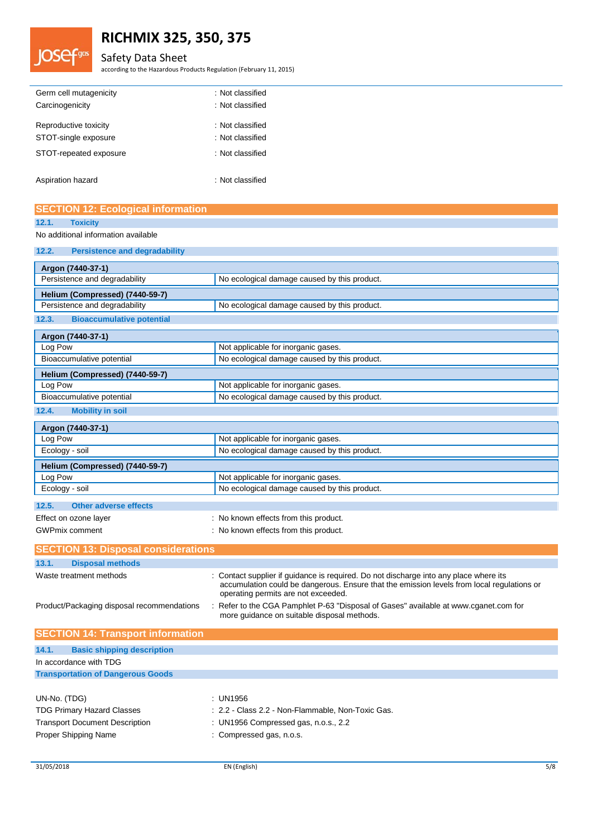

## **RICHMIX 325, 350, 375**

## Safety Data Sheet

according to the Hazardous Products Regulation (February 11, 2015)

| Germ cell mutagenicity | : Not classified |
|------------------------|------------------|
| Carcinogenicity        | : Not classified |
| Reproductive toxicity  | : Not classified |
| STOT-single exposure   | : Not classified |
| STOT-repeated exposure | : Not classified |
| Aspiration hazard      | : Not classified |

| <b>SECTION 12: Ecological information</b>     |                                              |  |  |
|-----------------------------------------------|----------------------------------------------|--|--|
| 12.1.<br><b>Toxicity</b>                      |                                              |  |  |
| No additional information available           |                                              |  |  |
| <b>Persistence and degradability</b><br>12.2. |                                              |  |  |
| Argon (7440-37-1)                             |                                              |  |  |
| Persistence and degradability                 | No ecological damage caused by this product. |  |  |
| Helium (Compressed) (7440-59-7)               |                                              |  |  |
| Persistence and degradability                 | No ecological damage caused by this product. |  |  |
| <b>Bioaccumulative potential</b><br>12.3.     |                                              |  |  |
| Argon (7440-37-1)                             |                                              |  |  |
| Log Pow                                       | Not applicable for inorganic gases.          |  |  |
| Bioaccumulative potential                     | No ecological damage caused by this product. |  |  |
| Helium (Compressed) (7440-59-7)               |                                              |  |  |
| Log Pow                                       | Not applicable for inorganic gases.          |  |  |
| Bioaccumulative potential                     | No ecological damage caused by this product. |  |  |
| <b>Mobility in soil</b><br>12.4.              |                                              |  |  |
| Argon (7440-37-1)                             |                                              |  |  |
| Log Pow                                       | Not applicable for inorganic gases.          |  |  |
| Ecology - soil                                | No ecological damage caused by this product. |  |  |
| Helium (Compressed) (7440-59-7)               |                                              |  |  |
| Log Pow                                       | Not applicable for inorganic gases.          |  |  |
| Ecology - soil                                | No ecological damage caused by this product. |  |  |
| <b>Other adverse effects</b><br>12.5.         |                                              |  |  |
| Effect on ozone layer                         | : No known effects from this product.        |  |  |
| <b>GWPmix comment</b>                         | : No known effects from this product.        |  |  |

| <b>SECTION 13: Disposal considerations</b> |                                                                                                                                                                                                                            |  |  |  |
|--------------------------------------------|----------------------------------------------------------------------------------------------------------------------------------------------------------------------------------------------------------------------------|--|--|--|
|                                            |                                                                                                                                                                                                                            |  |  |  |
| 13.1.<br><b>Disposal methods</b>           |                                                                                                                                                                                                                            |  |  |  |
| Waste treatment methods                    | : Contact supplier if guidance is required. Do not discharge into any place where its<br>accumulation could be dangerous. Ensure that the emission levels from local regulations or<br>operating permits are not exceeded. |  |  |  |
| Product/Packaging disposal recommendations | : Refer to the CGA Pamphlet P-63 "Disposal of Gases" available at www.cganet.com for<br>more quidance on suitable disposal methods.                                                                                        |  |  |  |
| <b>SECTION 14: Transport information</b>   |                                                                                                                                                                                                                            |  |  |  |

| 14.1.<br><b>Basic shipping description</b> |                                                   |
|--------------------------------------------|---------------------------------------------------|
| In accordance with TDG                     |                                                   |
| <b>Transportation of Dangerous Goods</b>   |                                                   |
|                                            |                                                   |
| UN-No. (TDG)                               | : UN1956                                          |
| <b>TDG Primary Hazard Classes</b>          | : 2.2 - Class 2.2 - Non-Flammable, Non-Toxic Gas. |
| <b>Transport Document Description</b>      | : UN1956 Compressed gas, n.o.s., 2.2              |
| <b>Proper Shipping Name</b>                | : Compressed gas, n.o.s.                          |
|                                            |                                                   |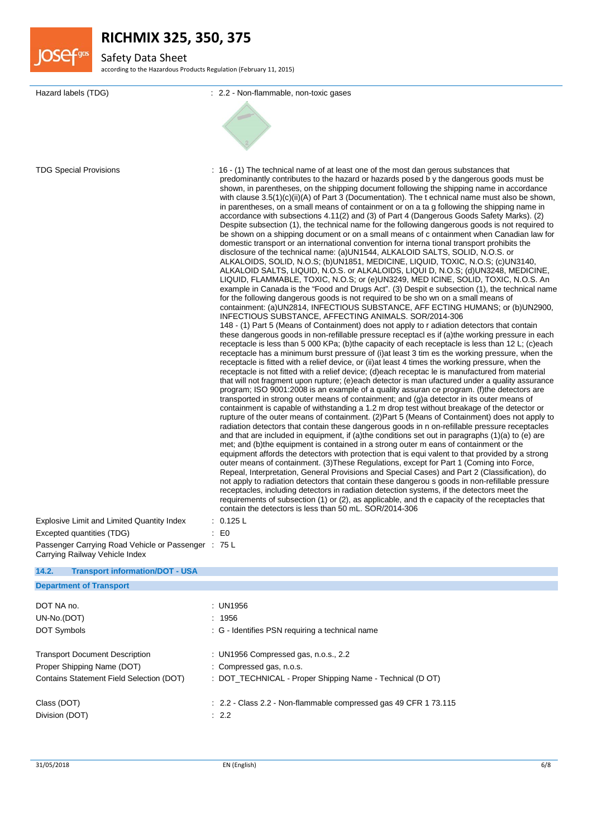

## Safety Data Sheet

according to the Hazardous Products Regulation (February 11, 2015)

| Hazard labels (TDG)                                                                   | : 2.2 - Non-flammable, non-toxic gases                                                                                                                                                                                                                                                                                                                                                                                                                                                                                                                                                                                                                                                                                                                                                                                                                                                                                                                                                                                                                                                                                                                                                                                                                                                                                                                                                                                                                                                                                                                                                                                                                                                                                                                                                                                                                                                                                                                                                                                                                                                                                                                                                                                                                                                                                                                                                                                                                                                                                                                                                                                                                                                                                                                                                                                                                                                                                                                                                                                                                                                                                                                                                                                                                                                                                                                                                                                                                                               |
|---------------------------------------------------------------------------------------|--------------------------------------------------------------------------------------------------------------------------------------------------------------------------------------------------------------------------------------------------------------------------------------------------------------------------------------------------------------------------------------------------------------------------------------------------------------------------------------------------------------------------------------------------------------------------------------------------------------------------------------------------------------------------------------------------------------------------------------------------------------------------------------------------------------------------------------------------------------------------------------------------------------------------------------------------------------------------------------------------------------------------------------------------------------------------------------------------------------------------------------------------------------------------------------------------------------------------------------------------------------------------------------------------------------------------------------------------------------------------------------------------------------------------------------------------------------------------------------------------------------------------------------------------------------------------------------------------------------------------------------------------------------------------------------------------------------------------------------------------------------------------------------------------------------------------------------------------------------------------------------------------------------------------------------------------------------------------------------------------------------------------------------------------------------------------------------------------------------------------------------------------------------------------------------------------------------------------------------------------------------------------------------------------------------------------------------------------------------------------------------------------------------------------------------------------------------------------------------------------------------------------------------------------------------------------------------------------------------------------------------------------------------------------------------------------------------------------------------------------------------------------------------------------------------------------------------------------------------------------------------------------------------------------------------------------------------------------------------------------------------------------------------------------------------------------------------------------------------------------------------------------------------------------------------------------------------------------------------------------------------------------------------------------------------------------------------------------------------------------------------------------------------------------------------------------------------------------------------|
|                                                                                       |                                                                                                                                                                                                                                                                                                                                                                                                                                                                                                                                                                                                                                                                                                                                                                                                                                                                                                                                                                                                                                                                                                                                                                                                                                                                                                                                                                                                                                                                                                                                                                                                                                                                                                                                                                                                                                                                                                                                                                                                                                                                                                                                                                                                                                                                                                                                                                                                                                                                                                                                                                                                                                                                                                                                                                                                                                                                                                                                                                                                                                                                                                                                                                                                                                                                                                                                                                                                                                                                                      |
|                                                                                       |                                                                                                                                                                                                                                                                                                                                                                                                                                                                                                                                                                                                                                                                                                                                                                                                                                                                                                                                                                                                                                                                                                                                                                                                                                                                                                                                                                                                                                                                                                                                                                                                                                                                                                                                                                                                                                                                                                                                                                                                                                                                                                                                                                                                                                                                                                                                                                                                                                                                                                                                                                                                                                                                                                                                                                                                                                                                                                                                                                                                                                                                                                                                                                                                                                                                                                                                                                                                                                                                                      |
|                                                                                       |                                                                                                                                                                                                                                                                                                                                                                                                                                                                                                                                                                                                                                                                                                                                                                                                                                                                                                                                                                                                                                                                                                                                                                                                                                                                                                                                                                                                                                                                                                                                                                                                                                                                                                                                                                                                                                                                                                                                                                                                                                                                                                                                                                                                                                                                                                                                                                                                                                                                                                                                                                                                                                                                                                                                                                                                                                                                                                                                                                                                                                                                                                                                                                                                                                                                                                                                                                                                                                                                                      |
|                                                                                       |                                                                                                                                                                                                                                                                                                                                                                                                                                                                                                                                                                                                                                                                                                                                                                                                                                                                                                                                                                                                                                                                                                                                                                                                                                                                                                                                                                                                                                                                                                                                                                                                                                                                                                                                                                                                                                                                                                                                                                                                                                                                                                                                                                                                                                                                                                                                                                                                                                                                                                                                                                                                                                                                                                                                                                                                                                                                                                                                                                                                                                                                                                                                                                                                                                                                                                                                                                                                                                                                                      |
|                                                                                       |                                                                                                                                                                                                                                                                                                                                                                                                                                                                                                                                                                                                                                                                                                                                                                                                                                                                                                                                                                                                                                                                                                                                                                                                                                                                                                                                                                                                                                                                                                                                                                                                                                                                                                                                                                                                                                                                                                                                                                                                                                                                                                                                                                                                                                                                                                                                                                                                                                                                                                                                                                                                                                                                                                                                                                                                                                                                                                                                                                                                                                                                                                                                                                                                                                                                                                                                                                                                                                                                                      |
| <b>TDG Special Provisions</b>                                                         | : 16 - (1) The technical name of at least one of the most dan gerous substances that<br>predominantly contributes to the hazard or hazards posed by the dangerous goods must be<br>shown, in parentheses, on the shipping document following the shipping name in accordance<br>with clause $3.5(1)(c)(ii)(A)$ of Part 3 (Documentation). The t echnical name must also be shown,<br>in parentheses, on a small means of containment or on a tag following the shipping name in<br>accordance with subsections 4.11(2) and (3) of Part 4 (Dangerous Goods Safety Marks). (2)<br>Despite subsection (1), the technical name for the following dangerous goods is not required to<br>be shown on a shipping document or on a small means of c ontainment when Canadian law for<br>domestic transport or an international convention for interna tional transport prohibits the<br>disclosure of the technical name: (a)UN1544, ALKALOID SALTS, SOLID, N.O.S. or<br>ALKALOIDS, SOLID, N.O.S; (b)UN1851, MEDICINE, LIQUID, TOXIC, N.O.S; (c)UN3140,<br>ALKALOID SALTS, LIQUID, N.O.S. or ALKALOIDS, LIQUI D, N.O.S; (d)UN3248, MEDICINE,<br>LIQUID, FLAMMABLE, TOXIC, N.O.S; or (e)UN3249, MED ICINE, SOLID, TOXIC, N.O.S. An<br>example in Canada is the "Food and Drugs Act". (3) Despit e subsection (1), the technical name<br>for the following dangerous goods is not required to be sho wn on a small means of<br>containment: (a)UN2814, INFECTIOUS SUBSTANCE, AFF ECTING HUMANS; or (b)UN2900,<br>INFECTIOUS SUBSTANCE, AFFECTING ANIMALS. SOR/2014-306<br>148 - (1) Part 5 (Means of Containment) does not apply to r adiation detectors that contain<br>these dangerous goods in non-refillable pressure receptacl es if (a)the working pressure in each<br>receptacle is less than 5 000 KPa; (b) the capacity of each receptacle is less than 12 L; (c) each<br>receptacle has a minimum burst pressure of (i) at least 3 tim es the working pressure, when the<br>receptacle is fitted with a relief device, or (ii) at least 4 times the working pressure, when the<br>receptacle is not fitted with a relief device; (d)each receptac le is manufactured from material<br>that will not fragment upon rupture; (e)each detector is man ufactured under a quality assurance<br>program; ISO 9001:2008 is an example of a quality assuran ce program. (f) the detectors are<br>transported in strong outer means of containment; and (g)a detector in its outer means of<br>containment is capable of withstanding a 1.2 m drop test without breakage of the detector or<br>rupture of the outer means of containment. (2)Part 5 (Means of Containment) does not apply to<br>radiation detectors that contain these dangerous goods in n on-refillable pressure receptacles<br>and that are included in equipment, if (a)the conditions set out in paragraphs (1)(a) to (e) are<br>met; and (b)the equipment is contained in a strong outer m eans of containment or the<br>equipment affords the detectors with protection that is equi valent to that provided by a strong<br>outer means of containment. (3) These Regulations, except for Part 1 (Coming into Force,<br>Repeal, Interpretation, General Provisions and Special Cases) and Part 2 (Classification), do<br>not apply to radiation detectors that contain these dangerou s goods in non-refillable pressure<br>receptacles, including detectors in radiation detection systems, if the detectors meet the |
|                                                                                       | requirements of subsection (1) or (2), as applicable, and the capacity of the receptacles that<br>contain the detectors is less than 50 mL, SOR/2014-306                                                                                                                                                                                                                                                                                                                                                                                                                                                                                                                                                                                                                                                                                                                                                                                                                                                                                                                                                                                                                                                                                                                                                                                                                                                                                                                                                                                                                                                                                                                                                                                                                                                                                                                                                                                                                                                                                                                                                                                                                                                                                                                                                                                                                                                                                                                                                                                                                                                                                                                                                                                                                                                                                                                                                                                                                                                                                                                                                                                                                                                                                                                                                                                                                                                                                                                             |
| Explosive Limit and Limited Quantity Index                                            | : 0.125 L                                                                                                                                                                                                                                                                                                                                                                                                                                                                                                                                                                                                                                                                                                                                                                                                                                                                                                                                                                                                                                                                                                                                                                                                                                                                                                                                                                                                                                                                                                                                                                                                                                                                                                                                                                                                                                                                                                                                                                                                                                                                                                                                                                                                                                                                                                                                                                                                                                                                                                                                                                                                                                                                                                                                                                                                                                                                                                                                                                                                                                                                                                                                                                                                                                                                                                                                                                                                                                                                            |
| Excepted quantities (TDG)                                                             | : E0                                                                                                                                                                                                                                                                                                                                                                                                                                                                                                                                                                                                                                                                                                                                                                                                                                                                                                                                                                                                                                                                                                                                                                                                                                                                                                                                                                                                                                                                                                                                                                                                                                                                                                                                                                                                                                                                                                                                                                                                                                                                                                                                                                                                                                                                                                                                                                                                                                                                                                                                                                                                                                                                                                                                                                                                                                                                                                                                                                                                                                                                                                                                                                                                                                                                                                                                                                                                                                                                                 |
| Passenger Carrying Road Vehicle or Passenger : 75 L<br>Carrying Railway Vehicle Index |                                                                                                                                                                                                                                                                                                                                                                                                                                                                                                                                                                                                                                                                                                                                                                                                                                                                                                                                                                                                                                                                                                                                                                                                                                                                                                                                                                                                                                                                                                                                                                                                                                                                                                                                                                                                                                                                                                                                                                                                                                                                                                                                                                                                                                                                                                                                                                                                                                                                                                                                                                                                                                                                                                                                                                                                                                                                                                                                                                                                                                                                                                                                                                                                                                                                                                                                                                                                                                                                                      |
| 14.2.<br><b>Transport information/DOT - USA</b>                                       |                                                                                                                                                                                                                                                                                                                                                                                                                                                                                                                                                                                                                                                                                                                                                                                                                                                                                                                                                                                                                                                                                                                                                                                                                                                                                                                                                                                                                                                                                                                                                                                                                                                                                                                                                                                                                                                                                                                                                                                                                                                                                                                                                                                                                                                                                                                                                                                                                                                                                                                                                                                                                                                                                                                                                                                                                                                                                                                                                                                                                                                                                                                                                                                                                                                                                                                                                                                                                                                                                      |
| <b>Department of Transport</b>                                                        |                                                                                                                                                                                                                                                                                                                                                                                                                                                                                                                                                                                                                                                                                                                                                                                                                                                                                                                                                                                                                                                                                                                                                                                                                                                                                                                                                                                                                                                                                                                                                                                                                                                                                                                                                                                                                                                                                                                                                                                                                                                                                                                                                                                                                                                                                                                                                                                                                                                                                                                                                                                                                                                                                                                                                                                                                                                                                                                                                                                                                                                                                                                                                                                                                                                                                                                                                                                                                                                                                      |
| DOT NA no.                                                                            | : UN1956                                                                                                                                                                                                                                                                                                                                                                                                                                                                                                                                                                                                                                                                                                                                                                                                                                                                                                                                                                                                                                                                                                                                                                                                                                                                                                                                                                                                                                                                                                                                                                                                                                                                                                                                                                                                                                                                                                                                                                                                                                                                                                                                                                                                                                                                                                                                                                                                                                                                                                                                                                                                                                                                                                                                                                                                                                                                                                                                                                                                                                                                                                                                                                                                                                                                                                                                                                                                                                                                             |
| UN-No.(DOT)                                                                           | : 1956                                                                                                                                                                                                                                                                                                                                                                                                                                                                                                                                                                                                                                                                                                                                                                                                                                                                                                                                                                                                                                                                                                                                                                                                                                                                                                                                                                                                                                                                                                                                                                                                                                                                                                                                                                                                                                                                                                                                                                                                                                                                                                                                                                                                                                                                                                                                                                                                                                                                                                                                                                                                                                                                                                                                                                                                                                                                                                                                                                                                                                                                                                                                                                                                                                                                                                                                                                                                                                                                               |
| DOT Symbols                                                                           | : G - Identifies PSN requiring a technical name                                                                                                                                                                                                                                                                                                                                                                                                                                                                                                                                                                                                                                                                                                                                                                                                                                                                                                                                                                                                                                                                                                                                                                                                                                                                                                                                                                                                                                                                                                                                                                                                                                                                                                                                                                                                                                                                                                                                                                                                                                                                                                                                                                                                                                                                                                                                                                                                                                                                                                                                                                                                                                                                                                                                                                                                                                                                                                                                                                                                                                                                                                                                                                                                                                                                                                                                                                                                                                      |
|                                                                                       |                                                                                                                                                                                                                                                                                                                                                                                                                                                                                                                                                                                                                                                                                                                                                                                                                                                                                                                                                                                                                                                                                                                                                                                                                                                                                                                                                                                                                                                                                                                                                                                                                                                                                                                                                                                                                                                                                                                                                                                                                                                                                                                                                                                                                                                                                                                                                                                                                                                                                                                                                                                                                                                                                                                                                                                                                                                                                                                                                                                                                                                                                                                                                                                                                                                                                                                                                                                                                                                                                      |
| <b>Transport Document Description</b>                                                 | : UN1956 Compressed gas, n.o.s., 2.2                                                                                                                                                                                                                                                                                                                                                                                                                                                                                                                                                                                                                                                                                                                                                                                                                                                                                                                                                                                                                                                                                                                                                                                                                                                                                                                                                                                                                                                                                                                                                                                                                                                                                                                                                                                                                                                                                                                                                                                                                                                                                                                                                                                                                                                                                                                                                                                                                                                                                                                                                                                                                                                                                                                                                                                                                                                                                                                                                                                                                                                                                                                                                                                                                                                                                                                                                                                                                                                 |
| Proper Shipping Name (DOT)                                                            | : Compressed gas, n.o.s.                                                                                                                                                                                                                                                                                                                                                                                                                                                                                                                                                                                                                                                                                                                                                                                                                                                                                                                                                                                                                                                                                                                                                                                                                                                                                                                                                                                                                                                                                                                                                                                                                                                                                                                                                                                                                                                                                                                                                                                                                                                                                                                                                                                                                                                                                                                                                                                                                                                                                                                                                                                                                                                                                                                                                                                                                                                                                                                                                                                                                                                                                                                                                                                                                                                                                                                                                                                                                                                             |
| Contains Statement Field Selection (DOT)                                              | : DOT_TECHNICAL - Proper Shipping Name - Technical (D OT)                                                                                                                                                                                                                                                                                                                                                                                                                                                                                                                                                                                                                                                                                                                                                                                                                                                                                                                                                                                                                                                                                                                                                                                                                                                                                                                                                                                                                                                                                                                                                                                                                                                                                                                                                                                                                                                                                                                                                                                                                                                                                                                                                                                                                                                                                                                                                                                                                                                                                                                                                                                                                                                                                                                                                                                                                                                                                                                                                                                                                                                                                                                                                                                                                                                                                                                                                                                                                            |
| Class (DOT)                                                                           | : 2.2 - Class 2.2 - Non-flammable compressed gas 49 CFR 1 73.115                                                                                                                                                                                                                                                                                                                                                                                                                                                                                                                                                                                                                                                                                                                                                                                                                                                                                                                                                                                                                                                                                                                                                                                                                                                                                                                                                                                                                                                                                                                                                                                                                                                                                                                                                                                                                                                                                                                                                                                                                                                                                                                                                                                                                                                                                                                                                                                                                                                                                                                                                                                                                                                                                                                                                                                                                                                                                                                                                                                                                                                                                                                                                                                                                                                                                                                                                                                                                     |
| Division (DOT)                                                                        | : 2.2                                                                                                                                                                                                                                                                                                                                                                                                                                                                                                                                                                                                                                                                                                                                                                                                                                                                                                                                                                                                                                                                                                                                                                                                                                                                                                                                                                                                                                                                                                                                                                                                                                                                                                                                                                                                                                                                                                                                                                                                                                                                                                                                                                                                                                                                                                                                                                                                                                                                                                                                                                                                                                                                                                                                                                                                                                                                                                                                                                                                                                                                                                                                                                                                                                                                                                                                                                                                                                                                                |
|                                                                                       |                                                                                                                                                                                                                                                                                                                                                                                                                                                                                                                                                                                                                                                                                                                                                                                                                                                                                                                                                                                                                                                                                                                                                                                                                                                                                                                                                                                                                                                                                                                                                                                                                                                                                                                                                                                                                                                                                                                                                                                                                                                                                                                                                                                                                                                                                                                                                                                                                                                                                                                                                                                                                                                                                                                                                                                                                                                                                                                                                                                                                                                                                                                                                                                                                                                                                                                                                                                                                                                                                      |
|                                                                                       |                                                                                                                                                                                                                                                                                                                                                                                                                                                                                                                                                                                                                                                                                                                                                                                                                                                                                                                                                                                                                                                                                                                                                                                                                                                                                                                                                                                                                                                                                                                                                                                                                                                                                                                                                                                                                                                                                                                                                                                                                                                                                                                                                                                                                                                                                                                                                                                                                                                                                                                                                                                                                                                                                                                                                                                                                                                                                                                                                                                                                                                                                                                                                                                                                                                                                                                                                                                                                                                                                      |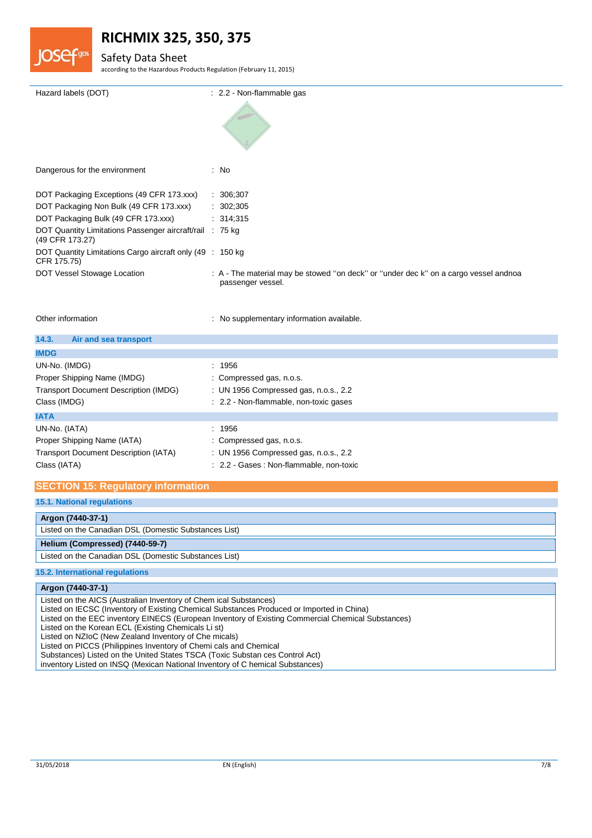

### Safety Data Sheet

according to the Hazardous Products Regulation (February 11, 2015)

| Hazard labels (DOT)                                                         | : 2.2 - Non-flammable gas                                                                                 |
|-----------------------------------------------------------------------------|-----------------------------------------------------------------------------------------------------------|
|                                                                             |                                                                                                           |
| Dangerous for the environment                                               | : No                                                                                                      |
| DOT Packaging Exceptions (49 CFR 173.xxx)                                   | : 306;307                                                                                                 |
| DOT Packaging Non Bulk (49 CFR 173.xxx)                                     | : 302;305                                                                                                 |
| DOT Packaging Bulk (49 CFR 173.xxx) : 314;315                               |                                                                                                           |
| DOT Quantity Limitations Passenger aircraft/rail : 75 kg<br>(49 CFR 173.27) |                                                                                                           |
| DOT Quantity Limitations Cargo aircraft only (49 : 150 kg)<br>CFR 175.75)   |                                                                                                           |
| DOT Vessel Stowage Location                                                 | : A - The material may be stowed "on deck" or "under dec k" on a cargo vessel andnoa<br>passenger vessel. |
|                                                                             |                                                                                                           |

Other information **contracts** : No supplementary information available.

| 14.3.<br>Air and sea transport               |                                          |
|----------------------------------------------|------------------------------------------|
| <b>IMDG</b>                                  |                                          |
| UN-No. (IMDG)                                | : 1956                                   |
| Proper Shipping Name (IMDG)                  | : Compressed gas, n.o.s.                 |
| <b>Transport Document Description (IMDG)</b> | : UN 1956 Compressed gas, n.o.s., 2.2    |
| Class (IMDG)                                 | : 2.2 - Non-flammable, non-toxic gases   |
| <b>IATA</b>                                  |                                          |
| UN-No. (IATA)                                | : 1956                                   |
| Proper Shipping Name (IATA)                  | : Compressed gas, n.o.s.                 |
| <b>Transport Document Description (IATA)</b> | : UN 1956 Compressed gas, n.o.s., 2.2    |
| Class (IATA)                                 | : 2.2 - Gases : Non-flammable, non-toxic |

## **SECTION 15: Regulatory information**

## **15.1. National regulations**

**Argon (7440-37-1)** Listed on the Canadian DSL (Domestic Substances List) **Helium (Compressed) (7440-59-7)** Listed on the Canadian DSL (Domestic Substances List) **15.2. International regulations**

#### **Argon (7440-37-1)**

Listed on the AICS (Australian Inventory of Chem ical Substances)

- Listed on IECSC (Inventory of Existing Chemical Substances Produced or Imported in China)
- Listed on the EEC inventory EINECS (European Inventory of Existing Commercial Chemical Substances)

Listed on the Korean ECL (Existing Chemicals Li st)

Listed on NZIoC (New Zealand Inventory of Che micals)

Listed on PICCS (Philippines Inventory of Chemi cals and Chemical

Substances) Listed on the United States TSCA (Toxic Substan ces Control Act)

inventory Listed on INSQ (Mexican National Inventory of C hemical Substances)